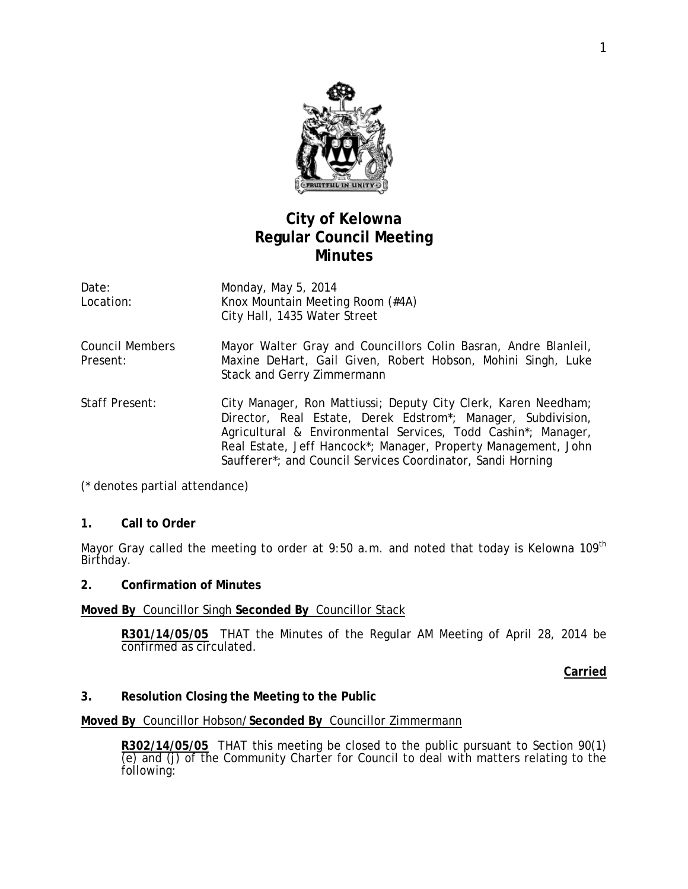

# **City of Kelowna Regular Council Meeting Minutes**

| Date:     | Monday, May 5, 2014              |
|-----------|----------------------------------|
| Location: | Knox Mountain Meeting Room (#4A) |
|           | City Hall, 1435 Water Street     |

- Council Members Present: Mayor Walter Gray and Councillors Colin Basran, Andre Blanleil, Maxine DeHart, Gail Given, Robert Hobson, Mohini Singh, Luke Stack and Gerry Zimmermann
- Staff Present: City Manager, Ron Mattiussi; Deputy City Clerk, Karen Needham; Director, Real Estate, Derek Edstrom\*; Manager, Subdivision, Agricultural & Environmental Services, Todd Cashin\*; Manager, Real Estate, Jeff Hancock\*; Manager, Property Management, John Saufferer\*; and Council Services Coordinator, Sandi Horning

(\* denotes partial attendance)

### **1. Call to Order**

Mayor Gray called the meeting to order at 9:50 a.m. and noted that today is Kelowna 109<sup>th</sup> Birthday.

#### **2. Confirmation of Minutes**

### **Moved By** Councillor Singh **Seconded By** Councillor Stack

**R301/14/05/05** THAT the Minutes of the Regular AM Meeting of April 28, 2014 be confirmed as circulated.

**Carried**

### **3. Resolution Closing the Meeting to the Public**

#### **Moved By** Councillor Hobson/**Seconded By** Councillor Zimmermann

**R302/14/05/05** THAT this meeting be closed to the public pursuant to Section 90(1) (e) and (j) of the Community Charter for Council to deal with matters relating to the following: